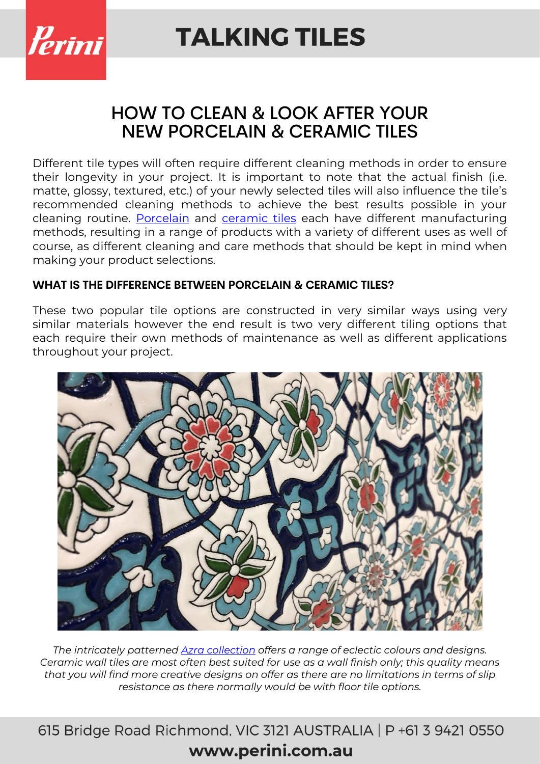

### HOW TO CLEAN & LOOK AFTER YOUR NEW PORCELAIN & CERAMIC TILES

Different tile types will often require different cleaning methods in order to ensure their longevity in your project. It is important to note that the actual finish (i.e. matte, glossy, textured, etc.) of your newly selected tiles will also influence the tile's recommended cleaning methods to achieve the best results possible in your cleaning routine. [Porcelain](https://www.perini.com.au/tiles-collection/porcelain-tiles/) and [ceramic tiles](https://www.perini.com.au/tiles-collection/ceramic/) each have different manufacturing methods, resulting in a range of products with a variety of different uses as well of course, as different cleaning and care methods that should be kept in mind when making your product selections.

### **WHAT IS THE DIFFERENCE BETWEEN PORCELAIN & CERAMIC TILES?**

These two popular tile options are constructed in very similar ways using very similar materials however the end result is two very different tiling options that each require their own methods of maintenance as well as different applications throughout your project.



*The intricately patterned [Azra collection](https://www.perini.com.au/collection/azra/) offers a range of eclectic colours and designs. Ceramic wall tiles are most often best suited for use as a wall finish only; this quality means that you will find more creative designs on offer as there are no limitations in terms of slip resistance as there normally would be with floor tile options.*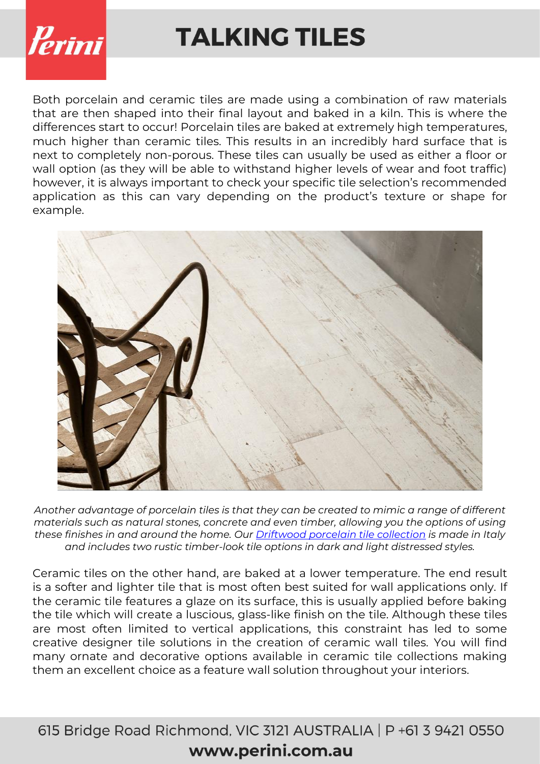

Both porcelain and ceramic tiles are made using a combination of raw materials that are then shaped into their final layout and baked in a kiln. This is where the differences start to occur! Porcelain tiles are baked at extremely high temperatures, much higher than ceramic tiles. This results in an incredibly hard surface that is next to completely non-porous. These tiles can usually be used as either a floor or wall option (as they will be able to withstand higher levels of wear and foot traffic) however, it is always important to check your specific tile selection's recommended application as this can vary depending on the product's texture or shape for example.



*Another advantage of porcelain tiles is that they can be created to mimic a range of different materials such as natural stones, concrete and even timber, allowing you the options of using these finishes in and around the home. Our [Driftwood porcelain tile collection](https://www.perini.com.au/collection/driftwood/) is made in Italy and includes two rustic timber-look tile options in dark and light distressed styles.*

Ceramic tiles on the other hand, are baked at a lower temperature. The end result is a softer and lighter tile that is most often best suited for wall applications only. If the ceramic tile features a glaze on its surface, this is usually applied before baking the tile which will create a luscious, glass-like finish on the tile. Although these tiles are most often limited to vertical applications, this constraint has led to some creative designer tile solutions in the creation of ceramic wall tiles. You will find many ornate and decorative options available in ceramic tile collections making them an excellent choice as a feature wall solution throughout your interiors.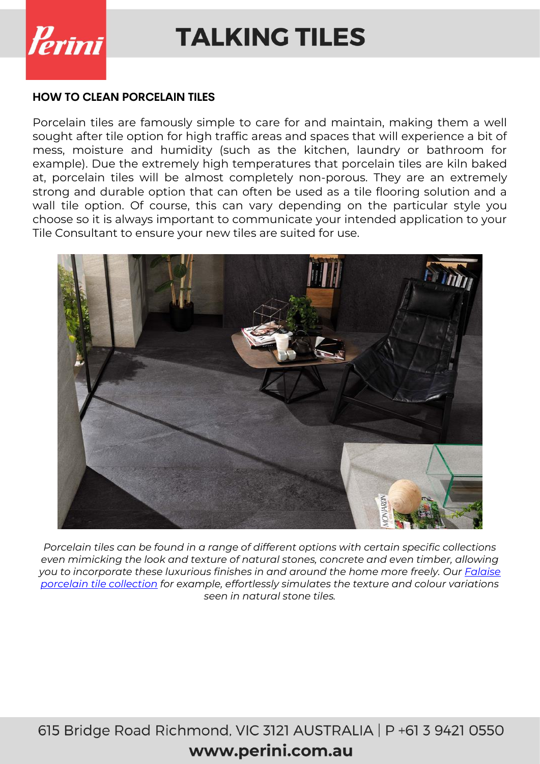

#### **HOW TO CLEAN PORCELAIN TILES**

Porcelain tiles are famously simple to care for and maintain, making them a well sought after tile option for high traffic areas and spaces that will experience a bit of mess, moisture and humidity (such as the kitchen, laundry or bathroom for example). Due the extremely high temperatures that porcelain tiles are kiln baked at, porcelain tiles will be almost completely non-porous. They are an extremely strong and durable option that can often be used as a tile flooring solution and a wall tile option. Of course, this can vary depending on the particular style you choose so it is always important to communicate your intended application to your Tile Consultant to ensure your new tiles are suited for use.



*Porcelain tiles can be found in a range of different options with certain specific collections even mimicking the look and texture of natural stones, concrete and even timber, allowing you to incorporate these luxurious finishes in and around the home more freely. Our [Falaise](https://www.perini.com.au/collection/falaise/)  [porcelain tile collection](https://www.perini.com.au/collection/falaise/) for example, effortlessly simulates the texture and colour variations seen in natural stone tiles.*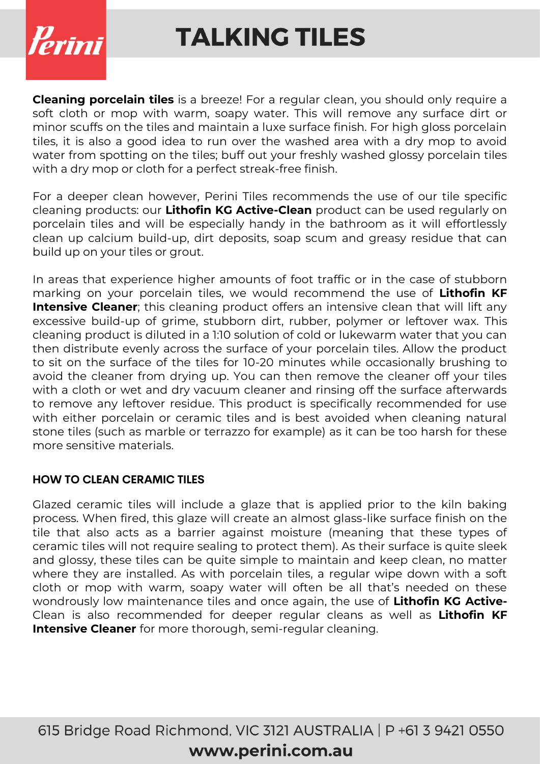

**Cleaning porcelain tiles** is a breeze! For a regular clean, you should only require a soft cloth or mop with warm, soapy water. This will remove any surface dirt or minor scuffs on the tiles and maintain a luxe surface finish. For high gloss porcelain tiles, it is also a good idea to run over the washed area with a dry mop to avoid water from spotting on the tiles; buff out your freshly washed glossy porcelain tiles with a dry mop or cloth for a perfect streak-free finish.

For a deeper clean however, Perini Tiles recommends the use of our tile specific cleaning products: our **Lithofin KG Active-Clean** product can be used regularly on porcelain tiles and will be especially handy in the bathroom as it will effortlessly clean up calcium build-up, dirt deposits, soap scum and greasy residue that can build up on your tiles or grout.

In areas that experience higher amounts of foot traffic or in the case of stubborn marking on your porcelain tiles, we would recommend the use of **Lithofin KF Intensive Cleaner**; this cleaning product offers an intensive clean that will lift any excessive build-up of grime, stubborn dirt, rubber, polymer or leftover wax. This cleaning product is diluted in a 1:10 solution of cold or lukewarm water that you can then distribute evenly across the surface of your porcelain tiles. Allow the product to sit on the surface of the tiles for 10-20 minutes while occasionally brushing to avoid the cleaner from drying up. You can then remove the cleaner off your tiles with a cloth or wet and dry vacuum cleaner and rinsing off the surface afterwards to remove any leftover residue. This product is specifically recommended for use with either porcelain or ceramic tiles and is best avoided when cleaning natural stone tiles (such as marble or terrazzo for example) as it can be too harsh for these more sensitive materials.

#### **HOW TO CLEAN CERAMIC TILES**

Glazed ceramic tiles will include a glaze that is applied prior to the kiln baking process. When fired, this glaze will create an almost glass-like surface finish on the tile that also acts as a barrier against moisture (meaning that these types of ceramic tiles will not require sealing to protect them). As their surface is quite sleek and glossy, these tiles can be quite simple to maintain and keep clean, no matter where they are installed. As with porcelain tiles, a regular wipe down with a soft cloth or mop with warm, soapy water will often be all that's needed on these wondrously low maintenance tiles and once again, the use of **Lithofin KG Active-**Clean is also recommended for deeper regular cleans as well as **Lithofin KF Intensive Cleaner** for more thorough, semi-regular cleaning.